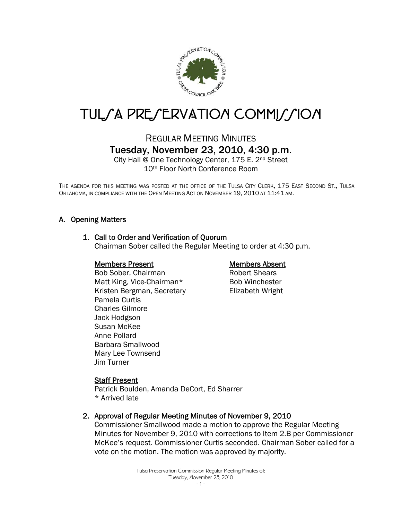

# TUL/A PRE/ERVATION COMMI//ION

# REGULAR MEETING MINUTES Tuesday, November 23, 2010, 4:30 p.m.

City Hall @ One Technology Center, 175 E. 2nd Street 10th Floor North Conference Room

THE AGENDA FOR THIS MEETING WAS POSTED AT THE OFFICE OF THE TULSA CITY CLERK, 175 EAST SECOND ST., TULSA OKLAHOMA, IN COMPLIANCE WITH THE OPEN MEETING ACT ON NOVEMBER 19, 2010 AT 11:41 AM.

# A. Opening Matters

# 1. Call to Order and Verification of Quorum

Chairman Sober called the Regular Meeting to order at 4:30 p.m.

#### Members Present

Bob Sober, Chairman Matt King, Vice-Chairman\* Kristen Bergman, Secretary Pamela Curtis Charles Gilmore Jack Hodgson Susan McKee Anne Pollard Barbara Smallwood Mary Lee Townsend Jim Turner

# Members Absent

Robert Shears Bob Winchester Elizabeth Wright

# Staff Present

Patrick Boulden, Amanda DeCort, Ed Sharrer \* Arrived late

#### 2. Approval of Regular Meeting Minutes of November 9, 2010

Commissioner Smallwood made a motion to approve the Regular Meeting Minutes for November 9, 2010 with corrections to Item 2.B per Commissioner McKee's request. Commissioner Curtis seconded. Chairman Sober called for a vote on the motion. The motion was approved by majority.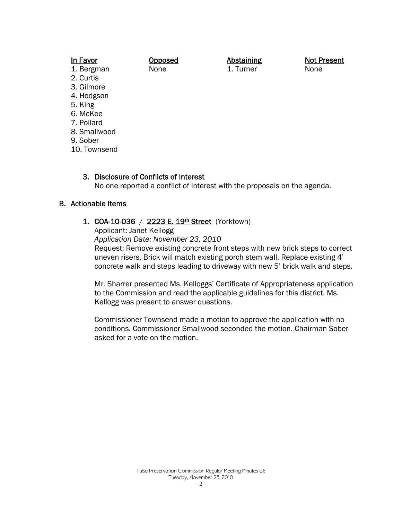| In Favor     | Opposed |
|--------------|---------|
| 1. Bergman   | None    |
| 2. Curtis    |         |
| 3. Gilmore   |         |
| 4. Hodgson   |         |
| 5. King      |         |
| 6. McKee     |         |
| 7. Pollard   |         |
| 8. Smallwood |         |
| 9. Sober     |         |

10. Townsend

#### 3. Disclosure of Conflicts of Interest

No one reported a conflict of interest with the proposals on the agenda.

Abstaining 1. Turner

## B. Actionable Items

# 1. COA-10-036 / 2223 E. 19th Street (Yorktown)

Applicant: Janet Kellogg

*Application Date: November 23, 2010*

Request: Remove existing concrete front steps with new brick steps to correct uneven risers. Brick will match existing porch stem wall. Replace existing 4' concrete walk and steps leading to driveway with new 5' brick walk and steps.

Mr. Sharrer presented Ms. Kelloggs' Certificate of Appropriateness application to the Commission and read the applicable guidelines for this district. Ms. Kellogg was present to answer questions.

Commissioner Townsend made a motion to approve the application with no conditions. Commissioner Smallwood seconded the motion. Chairman Sober asked for a vote on the motion.

Not Present None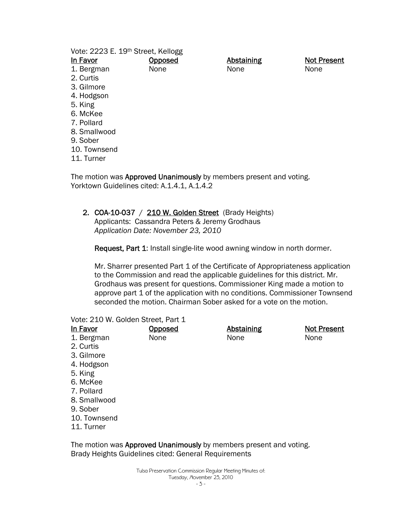| Vote: 2223 E. 19th Street, Kellogg                                 |         |                   |                    |
|--------------------------------------------------------------------|---------|-------------------|--------------------|
| In Favor                                                           | Opposed | <b>Abstaining</b> | <b>Not Present</b> |
| 1. Bergman                                                         | None    | None              | None               |
| 2. Curtis                                                          |         |                   |                    |
| 3. Gilmore                                                         |         |                   |                    |
| 4. Hodgson                                                         |         |                   |                    |
| 5. King                                                            |         |                   |                    |
| 6. McKee                                                           |         |                   |                    |
| 7. Pollard                                                         |         |                   |                    |
| 8. Smallwood                                                       |         |                   |                    |
| 9. Sober                                                           |         |                   |                    |
| 10. Townsend                                                       |         |                   |                    |
| 11. Turner                                                         |         |                   |                    |
| The motion was Approved Unanimously by members present and voting. |         |                   |                    |

Yorktown Guidelines cited: A.1.4.1, A.1.4.2

# 2. COA-10-037 / 210 W. Golden Street (Brady Heights)

Applicants: Cassandra Peters & Jeremy Grodhaus *Application Date: November 23, 2010* 

Request, Part 1: Install single-lite wood awning window in north dormer.

Mr. Sharrer presented Part 1 of the Certificate of Appropriateness application to the Commission and read the applicable guidelines for this district. Mr. Grodhaus was present for questions. Commissioner King made a motion to approve part 1 of the application with no conditions. Commissioner Townsend seconded the motion. Chairman Sober asked for a vote on the motion.

#### Vote: 210 W. Golden Street, Part 1

| In Favor     | <u>Opposed</u> | <b>Abstaining</b> | <b>Not Present</b> |
|--------------|----------------|-------------------|--------------------|
| 1. Bergman   | None           | None              | None               |
| 2. Curtis    |                |                   |                    |
| 3. Gilmore   |                |                   |                    |
| 4. Hodgson   |                |                   |                    |
| 5. King      |                |                   |                    |
| 6. McKee     |                |                   |                    |
| 7. Pollard   |                |                   |                    |
| 8. Smallwood |                |                   |                    |
| 9. Sober     |                |                   |                    |
| 10. Townsend |                |                   |                    |
| 11. Turner   |                |                   |                    |

The motion was Approved Unanimously by members present and voting. Brady Heights Guidelines cited: General Requirements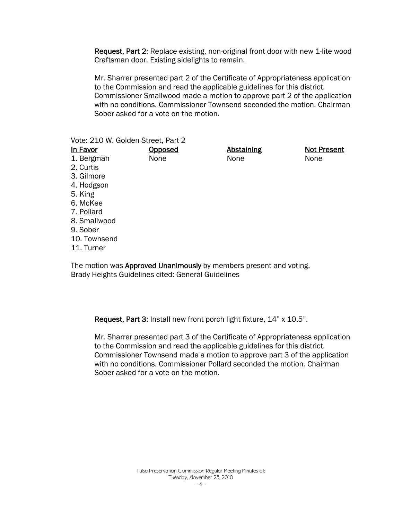Request, Part 2: Replace existing, non-original front door with new 1-lite wood Craftsman door. Existing sidelights to remain.

Mr. Sharrer presented part 2 of the Certificate of Appropriateness application to the Commission and read the applicable guidelines for this district. Commissioner Smallwood made a motion to approve part 2 of the application with no conditions. Commissioner Townsend seconded the motion. Chairman Sober asked for a vote on the motion.

Vote: 210 W. Golden Street, Part 2

| In Favor     | Opposed | <b>Abstaining</b> | <b>Not Present</b> |
|--------------|---------|-------------------|--------------------|
| 1. Bergman   | None    | None              | None               |
| 2. Curtis    |         |                   |                    |
| 3. Gilmore   |         |                   |                    |
| 4. Hodgson   |         |                   |                    |
| 5. King      |         |                   |                    |
| 6. McKee     |         |                   |                    |
| 7. Pollard   |         |                   |                    |
| 8. Smallwood |         |                   |                    |
| 9. Sober     |         |                   |                    |
| 10. Townsend |         |                   |                    |
| 11. Turner   |         |                   |                    |

The motion was **Approved Unanimously** by members present and voting. Brady Heights Guidelines cited: General Guidelines

Request, Part 3: Install new front porch light fixture, 14" x 10.5".

Mr. Sharrer presented part 3 of the Certificate of Appropriateness application to the Commission and read the applicable guidelines for this district. Commissioner Townsend made a motion to approve part 3 of the application with no conditions. Commissioner Pollard seconded the motion. Chairman Sober asked for a vote on the motion.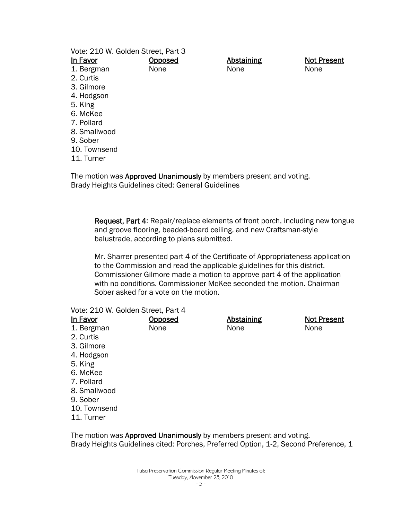| Vote: 210 W. Golden Street, Part 3                                       |         |                   |                    |
|--------------------------------------------------------------------------|---------|-------------------|--------------------|
| In Favor                                                                 | Opposed | <b>Abstaining</b> | <b>Not Present</b> |
| 1. Bergman                                                               | None    | None              | None               |
| 2. Curtis                                                                |         |                   |                    |
| 3. Gilmore                                                               |         |                   |                    |
| 4. Hodgson                                                               |         |                   |                    |
| 5. King                                                                  |         |                   |                    |
| 6. McKee                                                                 |         |                   |                    |
| 7. Pollard                                                               |         |                   |                    |
| 8. Smallwood                                                             |         |                   |                    |
| 9. Sober                                                                 |         |                   |                    |
| 10. Townsend                                                             |         |                   |                    |
| 11. Turner                                                               |         |                   |                    |
| The motion was <b>Annroved Unanimously</b> by members present and voting |         |                   |                    |

The motion was **Approved Unanimously** by members present and voting. Brady Heights Guidelines cited: General Guidelines

Request, Part 4: Repair/replace elements of front porch, including new tongue and groove flooring, beaded-board ceiling, and new Craftsman-style balustrade, according to plans submitted.

Mr. Sharrer presented part 4 of the Certificate of Appropriateness application to the Commission and read the applicable guidelines for this district. Commissioner Gilmore made a motion to approve part 4 of the application with no conditions. Commissioner McKee seconded the motion. Chairman Sober asked for a vote on the motion.

#### Vote: 210 W. Golden Street, Part 4

| In Favor     | Opposed | <b>Abstaining</b> | <b>Not Present</b> |
|--------------|---------|-------------------|--------------------|
| 1. Bergman   | None    | None              | None               |
| 2. Curtis    |         |                   |                    |
| 3. Gilmore   |         |                   |                    |
| 4. Hodgson   |         |                   |                    |
| 5. King      |         |                   |                    |
| 6. McKee     |         |                   |                    |
| 7. Pollard   |         |                   |                    |
| 8. Smallwood |         |                   |                    |
| 9. Sober     |         |                   |                    |
| 10. Townsend |         |                   |                    |
| 11. Turner   |         |                   |                    |

The motion was Approved Unanimously by members present and voting. Brady Heights Guidelines cited: Porches, Preferred Option, 1-2, Second Preference, 1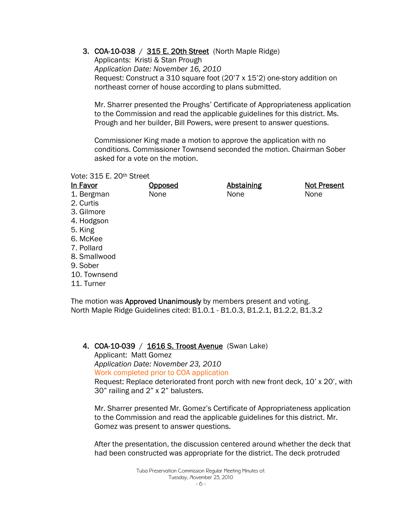3. COA-10-038 / 315 E. 20th Street (North Maple Ridge)

Applicants: Kristi & Stan Prough *Application Date: November 16, 2010*  Request: Construct a 310 square foot (20'7 x 15'2) one-story addition on northeast corner of house according to plans submitted.

Mr. Sharrer presented the Proughs' Certificate of Appropriateness application to the Commission and read the applicable guidelines for this district. Ms. Prough and her builder, Bill Powers, were present to answer questions.

Commissioner King made a motion to approve the application with no conditions. Commissioner Townsend seconded the motion. Chairman Sober asked for a vote on the motion.

Vote: 315 E. 20th Street

| In Favor     | Opposed | <b>Abstaining</b> | <b>Not Present</b> |
|--------------|---------|-------------------|--------------------|
| 1. Bergman   | None    | None              | None               |
| 2. Curtis    |         |                   |                    |
| 3. Gilmore   |         |                   |                    |
| 4. Hodgson   |         |                   |                    |
| 5. King      |         |                   |                    |
| 6. McKee     |         |                   |                    |
| 7. Pollard   |         |                   |                    |
| 8. Smallwood |         |                   |                    |
| 9. Sober     |         |                   |                    |
| 10. Townsend |         |                   |                    |
| 11. Turner   |         |                   |                    |
|              |         |                   |                    |

The motion was **Approved Unanimously** by members present and voting. North Maple Ridge Guidelines cited: B1.0.1 - B1.0.3, B1.2.1, B1.2.2, B1.3.2

4. COA-10-039 / 1616 S. Troost Avenue (Swan Lake) Applicant: Matt Gomez *Application Date: November 23, 2010*  Work completed prior to COA application

Request: Replace deteriorated front porch with new front deck, 10' x 20', with 30" railing and 2" x 2" balusters.

Mr. Sharrer presented Mr. Gomez's Certificate of Appropriateness application to the Commission and read the applicable guidelines for this district. Mr. Gomez was present to answer questions.

After the presentation, the discussion centered around whether the deck that had been constructed was appropriate for the district. The deck protruded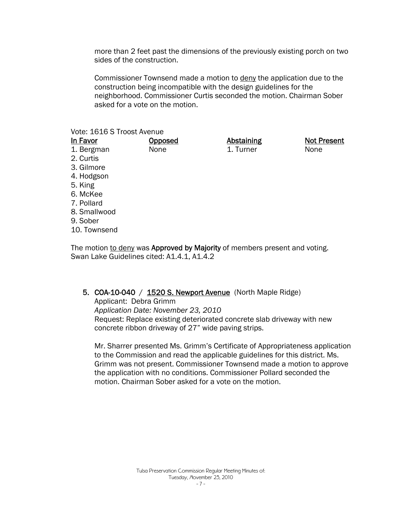more than 2 feet past the dimensions of the previously existing porch on two sides of the construction.

Commissioner Townsend made a motion to deny the application due to the construction being incompatible with the design guidelines for the neighborhood. Commissioner Curtis seconded the motion. Chairman Sober asked for a vote on the motion.

#### Vote: 1616 S Troost Avenue

| In Favor     | <u>Opposed</u> | <b>Abstaining</b> | <b>Not Present</b> |
|--------------|----------------|-------------------|--------------------|
| 1. Bergman   | None           | 1. Turner         | None               |
| 2. Curtis    |                |                   |                    |
| 3. Gilmore   |                |                   |                    |
| 4. Hodgson   |                |                   |                    |
| 5. King      |                |                   |                    |
| 6. McKee     |                |                   |                    |
| 7. Pollard   |                |                   |                    |
| 8. Smallwood |                |                   |                    |
| 9. Sober     |                |                   |                    |
| 10. Townsend |                |                   |                    |

The motion to deny was Approved by Majority of members present and voting. Swan Lake Guidelines cited: A1.4.1, A1.4.2

#### 5. COA-10-040 / 1520 S. Newport Avenue (North Maple Ridge)

Applicant: Debra Grimm *Application Date: November 23, 2010*  Request: Replace existing deteriorated concrete slab driveway with new concrete ribbon driveway of 27" wide paving strips.

Mr. Sharrer presented Ms. Grimm's Certificate of Appropriateness application to the Commission and read the applicable guidelines for this district. Ms. Grimm was not present. Commissioner Townsend made a motion to approve the application with no conditions. Commissioner Pollard seconded the motion. Chairman Sober asked for a vote on the motion.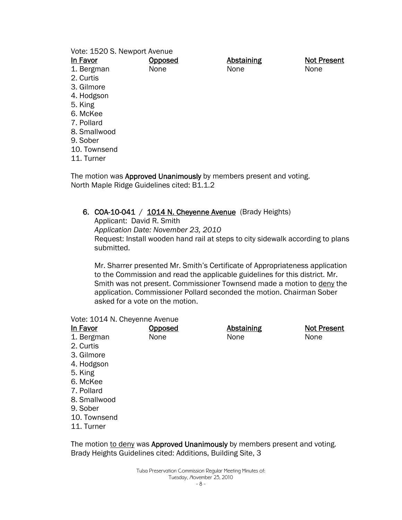Vote: 1520 S. Newport Avenue

| In Favor     | <b>Opposed</b> | <b>Abstaining</b> | <b>Not Present</b> |
|--------------|----------------|-------------------|--------------------|
| 1. Bergman   | None           | None              | None               |
| 2. Curtis    |                |                   |                    |
| 3. Gilmore   |                |                   |                    |
| 4. Hodgson   |                |                   |                    |
| 5. King      |                |                   |                    |
| 6. McKee     |                |                   |                    |
| 7. Pollard   |                |                   |                    |
| 8. Smallwood |                |                   |                    |
| 9. Sober     |                |                   |                    |
| 10. Townsend |                |                   |                    |
| 11. Turner   |                |                   |                    |
|              |                |                   |                    |

The motion was **Approved Unanimously** by members present and voting. North Maple Ridge Guidelines cited: B1.1.2

## 6. COA-10-041 /  $1014$  N. Cheyenne Avenue (Brady Heights)

Applicant: David R. Smith *Application Date: November 23, 2010*  Request: Install wooden hand rail at steps to city sidewalk according to plans submitted.

Mr. Sharrer presented Mr. Smith's Certificate of Appropriateness application to the Commission and read the applicable guidelines for this district. Mr. Smith was not present. Commissioner Townsend made a motion to deny the application. Commissioner Pollard seconded the motion. Chairman Sober asked for a vote on the motion.

#### Vote: 1014 N. Cheyenne Avenue

| In Favor     | <b>Opposed</b> | <b>Abstaining</b> | <b>Not Present</b> |
|--------------|----------------|-------------------|--------------------|
| 1. Bergman   | None           | None              | None               |
| 2. Curtis    |                |                   |                    |
| 3. Gilmore   |                |                   |                    |
| 4. Hodgson   |                |                   |                    |
| 5. King      |                |                   |                    |
| 6. McKee     |                |                   |                    |
| 7. Pollard   |                |                   |                    |
| 8. Smallwood |                |                   |                    |
| 9. Sober     |                |                   |                    |
| 10. Townsend |                |                   |                    |

11. Turner

The motion to deny was Approved Unanimously by members present and voting. Brady Heights Guidelines cited: Additions, Building Site, 3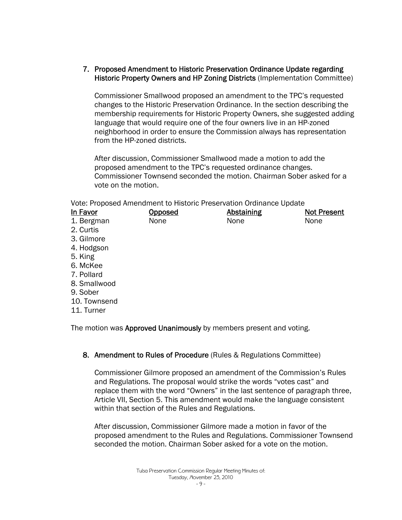## 7. Proposed Amendment to Historic Preservation Ordinance Update regarding Historic Property Owners and HP Zoning Districts (Implementation Committee)

Commissioner Smallwood proposed an amendment to the TPC's requested changes to the Historic Preservation Ordinance. In the section describing the membership requirements for Historic Property Owners, she suggested adding language that would require one of the four owners live in an HP-zoned neighborhood in order to ensure the Commission always has representation from the HP-zoned districts.

After discussion, Commissioner Smallwood made a motion to add the proposed amendment to the TPC's requested ordinance changes. Commissioner Townsend seconded the motion. Chairman Sober asked for a vote on the motion.

Vote: Proposed Amendment to Historic Preservation Ordinance Update

| Opposed | <b>Abstaining</b> | <b>Not Present</b> |
|---------|-------------------|--------------------|
| None    | None              | None               |
|         |                   |                    |
|         |                   |                    |
|         |                   |                    |
|         |                   |                    |
|         |                   |                    |
|         |                   |                    |
|         |                   |                    |
|         |                   |                    |
|         |                   |                    |
|         |                   |                    |
|         |                   |                    |

The motion was Approved Unanimously by members present and voting.

# 8. Amendment to Rules of Procedure (Rules & Regulations Committee)

Commissioner Gilmore proposed an amendment of the Commission's Rules and Regulations. The proposal would strike the words "votes cast" and replace them with the word "Owners" in the last sentence of paragraph three, Article VII, Section 5. This amendment would make the language consistent within that section of the Rules and Regulations.

After discussion, Commissioner Gilmore made a motion in favor of the proposed amendment to the Rules and Regulations. Commissioner Townsend seconded the motion. Chairman Sober asked for a vote on the motion.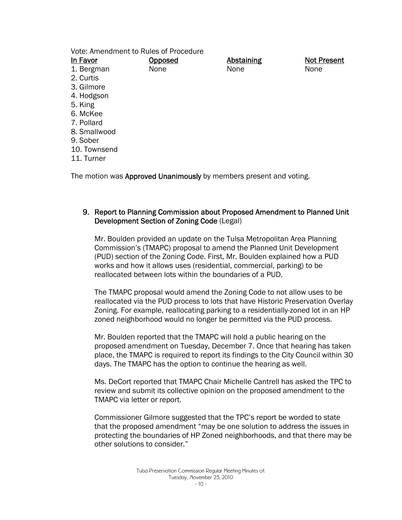Vote: Amendment to Rules of Procedure

| In Favor     | Opposed | <b>Abstaining</b> | <b>Not Present</b> |
|--------------|---------|-------------------|--------------------|
| 1. Bergman   | None    | None              | None               |
| 2. Curtis    |         |                   |                    |
| 3. Gilmore   |         |                   |                    |
| 4. Hodgson   |         |                   |                    |
| 5. King      |         |                   |                    |
| 6. McKee     |         |                   |                    |
| 7. Pollard   |         |                   |                    |
| 8. Smallwood |         |                   |                    |
| 9. Sober     |         |                   |                    |
| 10. Townsend |         |                   |                    |
| 11. Turner   |         |                   |                    |
|              |         |                   |                    |

The motion was **Approved Unanimously** by members present and voting.

# 9. Report to Planning Commission about Proposed Amendment to Planned Unit Development Section of Zoning Code (Legal)

Mr. Boulden provided an update on the Tulsa Metropolitan Area Planning Commission's (TMAPC) proposal to amend the Planned Unit Development (PUD) section of the Zoning Code. First, Mr. Boulden explained how a PUD works and how it allows uses (residential, commercial, parking) to be reallocated between lots within the boundaries of a PUD.

The TMAPC proposal would amend the Zoning Code to not allow uses to be reallocated via the PUD process to lots that have Historic Preservation Overlay Zoning. For example, reallocating parking to a residentially-zoned lot in an HP zoned neighborhood would no longer be permitted via the PUD process.

Mr. Boulden reported that the TMAPC will hold a public hearing on the proposed amendment on Tuesday, December 7. Once that hearing has taken place, the TMAPC is required to report its findings to the City Council within 30 days. The TMAPC has the option to continue the hearing as well.

Ms. DeCort reported that TMAPC Chair Michelle Cantrell has asked the TPC to review and submit its collective opinion on the proposed amendment to the TMAPC via letter or report.

Commissioner Gilmore suggested that the TPC's report be worded to state that the proposed amendment "may be one solution to address the issues in protecting the boundaries of HP Zoned neighborhoods, and that there may be other solutions to consider."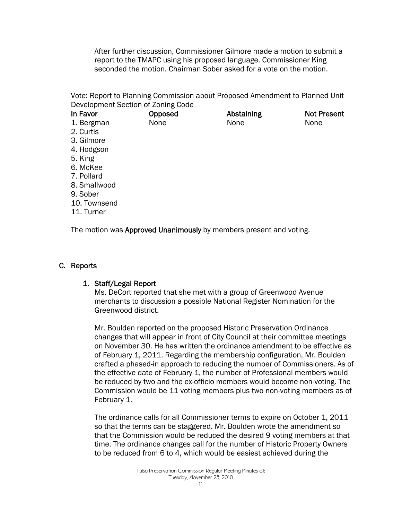After further discussion, Commissioner Gilmore made a motion to submit a report to the TMAPC using his proposed language. Commissioner King seconded the motion. Chairman Sober asked for a vote on the motion.

Vote: Report to Planning Commission about Proposed Amendment to Planned Unit Development Section of Zoning Code

| In Favor                                                           | Opposed | Abstaining | <b>Not Present</b> |
|--------------------------------------------------------------------|---------|------------|--------------------|
| 1. Bergman                                                         | None    | None       | None               |
| 2. Curtis                                                          |         |            |                    |
| 3. Gilmore                                                         |         |            |                    |
| 4. Hodgson                                                         |         |            |                    |
| 5. King                                                            |         |            |                    |
| 6. McKee                                                           |         |            |                    |
| 7. Pollard                                                         |         |            |                    |
| 8. Smallwood                                                       |         |            |                    |
| 9. Sober                                                           |         |            |                    |
| 10. Townsend                                                       |         |            |                    |
| 11. Turner                                                         |         |            |                    |
| The motion was Approved Unanimously by members present and voting. |         |            |                    |

C. Reports

#### 1. Staff/Legal Report

Ms. DeCort reported that she met with a group of Greenwood Avenue merchants to discussion a possible National Register Nomination for the Greenwood district.

Mr. Boulden reported on the proposed Historic Preservation Ordinance changes that will appear in front of City Council at their committee meetings on November 30. He has written the ordinance amendment to be effective as of February 1, 2011. Regarding the membership configuration, Mr. Boulden crafted a phased-in approach to reducing the number of Commissioners. As of the effective date of February 1, the number of Professional members would be reduced by two and the ex-officio members would become non-voting. The Commission would be 11 voting members plus two non-voting members as of February 1.

The ordinance calls for all Commissioner terms to expire on October 1, 2011 so that the terms can be staggered. Mr. Boulden wrote the amendment so that the Commission would be reduced the desired 9 voting members at that time. The ordinance changes call for the number of Historic Property Owners to be reduced from 6 to 4, which would be easiest achieved during the